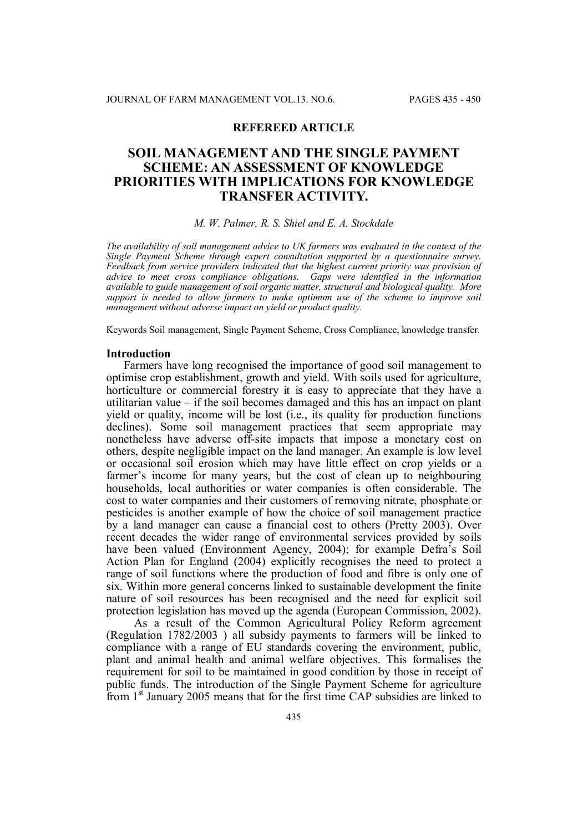# **REFEREED ARTICLE**

# **SOIL MANAGEMENT AND THE SINGLE PAYMENT SCHEME: AN ASSESSMENT OF KNOWLEDGE PRIORITIES WITH IMPLICATIONS FOR KNOWLEDGE TRANSFER ACTIVITY.**

#### *M. W. Palmer, R. S. Shiel and E. A. Stockdale*

*The availability of soil management advice to UK farmers was evaluated in the context of the Single Payment Scheme through expert consultation supported by a questionnaire survey. Feedback from service providers indicated that the highest current priority was provision of advice to meet cross compliance obligations. Gaps were identified in the information available to guide management of soil organic matter, structural and biological quality. More support is needed to allow farmers to make optimum use of the scheme to improve soil management without adverse impact on yield or product quality.*

Keywords Soil management, Single Payment Scheme, Cross Compliance, knowledge transfer.

#### **Introduction**

Farmers have long recognised the importance of good soil management to optimise crop establishment, growth and yield. With soils used for agriculture, horticulture or commercial forestry it is easy to appreciate that they have a utilitarian value – if the soil becomes damaged and this has an impact on plant yield or quality, income will be lost (i.e., its quality for production functions declines). Some soil management practices that seem appropriate may nonetheless have adverse off-site impacts that impose a monetary cost on others, despite negligible impact on the land manager. An example is low level or occasional soil erosion which may have little effect on crop yields or a farmer's income for many years, but the cost of clean up to neighbouring households, local authorities or water companies is often considerable. The cost to water companies and their customers of removing nitrate, phosphate or pesticides is another example of how the choice of soil management practice by a land manager can cause a financial cost to others (Pretty 2003). Over recent decades the wider range of environmental services provided by soils have been valued (Environment Agency, 2004); for example Defra's Soil Action Plan for England (2004) explicitly recognises the need to protect a range of soil functions where the production of food and fibre is only one of six. Within more general concerns linked to sustainable development the finite nature of soil resources has been recognised and the need for explicit soil protection legislation has moved up the agenda (European Commission, 2002).

As a result of the Common Agricultural Policy Reform agreement (Regulation 1782/2003 ) all subsidy payments to farmers will be linked to compliance with a range of EU standards covering the environment, public, plant and animal health and animal welfare objectives. This formalises the requirement for soil to be maintained in good condition by those in receipt of public funds. The introduction of the Single Payment Scheme for agriculture from 1st January 2005 means that for the first time CAP subsidies are linked to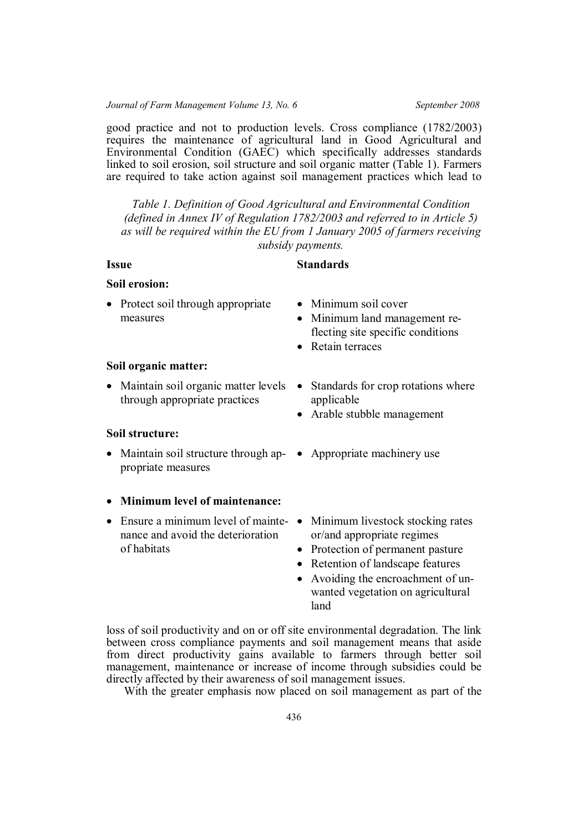good practice and not to production levels. Cross compliance (1782/2003) requires the maintenance of agricultural land in Good Agricultural and Environmental Condition (GAEC) which specifically addresses standards linked to soil erosion, soil structure and soil organic matter (Table 1). Farmers are required to take action against soil management practices which lead to

*Table 1. Definition of Good Agricultural and Environmental Condition (defined in Annex IV of Regulation 1782/2003 and referred to in Article 5) as will be required within the EU from 1 January 2005 of farmers receiving subsidy payments.*

# **Issue Standards**

# **Soil erosion:**

- Protect soil through appropriate measures
- Minimum soil cover
- Minimum land management reflecting site specific conditions
- Retain terraces

# **Soil organic matter:**

• Maintain soil organic matter levels • Standards for crop rotations where through appropriate practices

## **Soil structure:**

• Maintain soil structure through ap- • Appropriate machinery use propriate measures

## **Minimum level of maintenance:**

• Ensure a minimum level of mainte- • Minimum livestock stocking rates nance and avoid the deterioration of habitats

- applicable
- Arable stubble management
- 
- or/and appropriate regimes
- Protection of permanent pasture
- Retention of landscape features
- Avoiding the encroachment of unwanted vegetation on agricultural land

loss of soil productivity and on or off site environmental degradation. The link between cross compliance payments and soil management means that aside from direct productivity gains available to farmers through better soil management, maintenance or increase of income through subsidies could be directly affected by their awareness of soil management issues.

With the greater emphasis now placed on soil management as part of the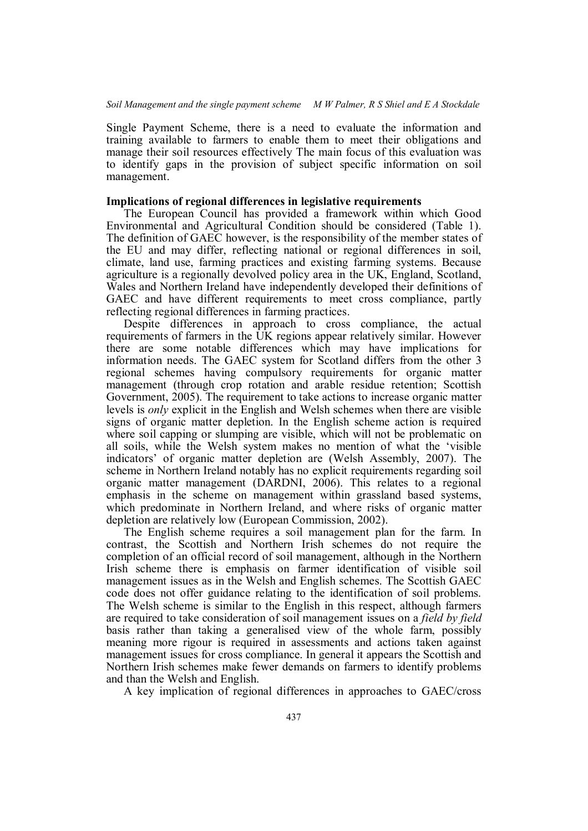Single Payment Scheme, there is a need to evaluate the information and training available to farmers to enable them to meet their obligations and manage their soil resources effectively The main focus of this evaluation was to identify gaps in the provision of subject specific information on soil management.

#### **Implications of regional differences in legislative requirements**

The European Council has provided a framework within which Good Environmental and Agricultural Condition should be considered (Table 1). The definition of GAEC however, is the responsibility of the member states of the EU and may differ, reflecting national or regional differences in soil, climate, land use, farming practices and existing farming systems. Because agriculture is a regionally devolved policy area in the UK, England, Scotland, Wales and Northern Ireland have independently developed their definitions of GAEC and have different requirements to meet cross compliance, partly reflecting regional differences in farming practices.

Despite differences in approach to cross compliance, the actual requirements of farmers in the UK regions appear relatively similar. However there are some notable differences which may have implications for information needs. The GAEC system for Scotland differs from the other 3 regional schemes having compulsory requirements for organic matter management (through crop rotation and arable residue retention; Scottish Government, 2005). The requirement to take actions to increase organic matter levels is *only* explicit in the English and Welsh schemes when there are visible signs of organic matter depletion. In the English scheme action is required where soil capping or slumping are visible, which will not be problematic on all soils, while the Welsh system makes no mention of what the 'visible indicators' of organic matter depletion are (Welsh Assembly, 2007). The scheme in Northern Ireland notably has no explicit requirements regarding soil organic matter management (DARDNI, 2006). This relates to a regional emphasis in the scheme on management within grassland based systems, which predominate in Northern Ireland, and where risks of organic matter depletion are relatively low (European Commission, 2002).

The English scheme requires a soil management plan for the farm. In contrast, the Scottish and Northern Irish schemes do not require the completion of an official record of soil management, although in the Northern Irish scheme there is emphasis on farmer identification of visible soil management issues as in the Welsh and English schemes. The Scottish GAEC code does not offer guidance relating to the identification of soil problems. The Welsh scheme is similar to the English in this respect, although farmers are required to take consideration of soil management issues on a *field by field* basis rather than taking a generalised view of the whole farm, possibly meaning more rigour is required in assessments and actions taken against management issues for cross compliance. In general it appears the Scottish and Northern Irish schemes make fewer demands on farmers to identify problems and than the Welsh and English.

A key implication of regional differences in approaches to GAEC/cross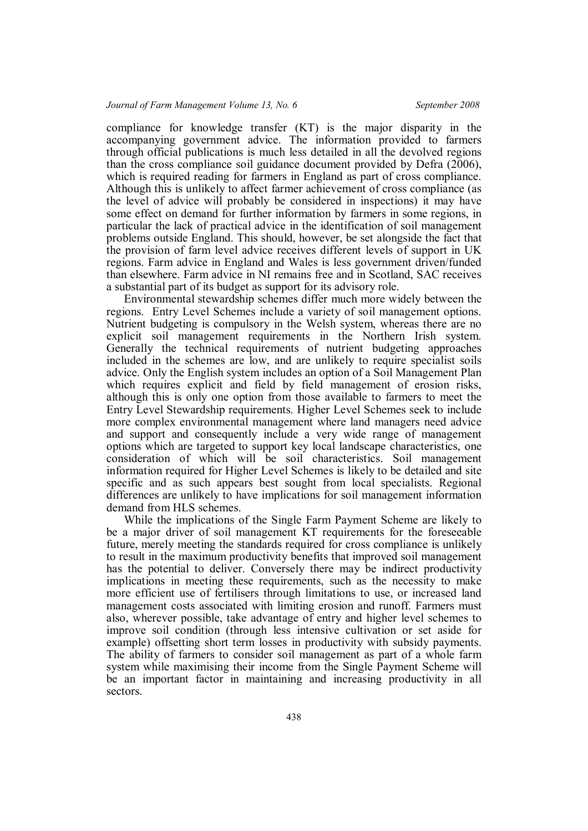compliance for knowledge transfer (KT) is the major disparity in the accompanying government advice. The information provided to farmers through official publications is much less detailed in all the devolved regions than the cross compliance soil guidance document provided by Defra (2006), which is required reading for farmers in England as part of cross compliance. Although this is unlikely to affect farmer achievement of cross compliance (as the level of advice will probably be considered in inspections) it may have some effect on demand for further information by farmers in some regions, in particular the lack of practical advice in the identification of soil management problems outside England. This should, however, be set alongside the fact that the provision of farm level advice receives different levels of support in UK regions. Farm advice in England and Wales is less government driven/funded than elsewhere. Farm advice in NI remains free and in Scotland, SAC receives a substantial part of its budget as support for its advisory role.

Environmental stewardship schemes differ much more widely between the regions. Entry Level Schemes include a variety of soil management options. Nutrient budgeting is compulsory in the Welsh system, whereas there are no explicit soil management requirements in the Northern Irish system. Generally the technical requirements of nutrient budgeting approaches included in the schemes are low, and are unlikely to require specialist soils advice. Only the English system includes an option of a Soil Management Plan which requires explicit and field by field management of erosion risks, although this is only one option from those available to farmers to meet the Entry Level Stewardship requirements. Higher Level Schemes seek to include more complex environmental management where land managers need advice and support and consequently include a very wide range of management options which are targeted to support key local landscape characteristics, one consideration of which will be soil characteristics. Soil management information required for Higher Level Schemes is likely to be detailed and site specific and as such appears best sought from local specialists. Regional differences are unlikely to have implications for soil management information demand from HLS schemes.

While the implications of the Single Farm Payment Scheme are likely to be a major driver of soil management KT requirements for the foreseeable future, merely meeting the standards required for cross compliance is unlikely to result in the maximum productivity benefits that improved soil management has the potential to deliver. Conversely there may be indirect productivity implications in meeting these requirements, such as the necessity to make more efficient use of fertilisers through limitations to use, or increased land management costs associated with limiting erosion and runoff. Farmers must also, wherever possible, take advantage of entry and higher level schemes to improve soil condition (through less intensive cultivation or set aside for example) offsetting short term losses in productivity with subsidy payments. The ability of farmers to consider soil management as part of a whole farm system while maximising their income from the Single Payment Scheme will be an important factor in maintaining and increasing productivity in all sectors.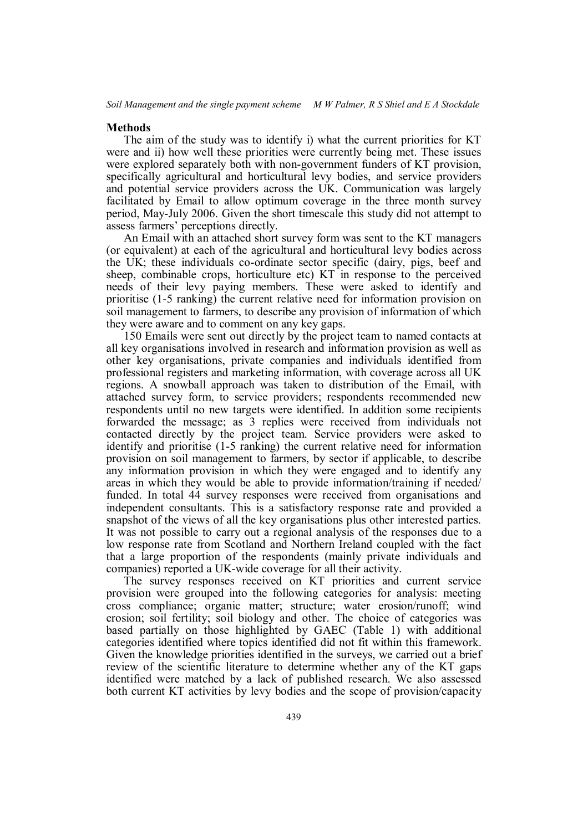#### **Methods**

The aim of the study was to identify i) what the current priorities for KT were and ii) how well these priorities were currently being met. These issues were explored separately both with non-government funders of KT provision, specifically agricultural and horticultural levy bodies, and service providers and potential service providers across the UK. Communication was largely facilitated by Email to allow optimum coverage in the three month survey period, May-July 2006. Given the short timescale this study did not attempt to assess farmers' perceptions directly.

An Email with an attached short survey form was sent to the KT managers (or equivalent) at each of the agricultural and horticultural levy bodies across the UK; these individuals co-ordinate sector specific (dairy, pigs, beef and sheep, combinable crops, horticulture etc) KT in response to the perceived needs of their levy paying members. These were asked to identify and prioritise (1-5 ranking) the current relative need for information provision on soil management to farmers, to describe any provision of information of which they were aware and to comment on any key gaps.

150 Emails were sent out directly by the project team to named contacts at all key organisations involved in research and information provision as well as other key organisations, private companies and individuals identified from professional registers and marketing information, with coverage across all UK regions. A snowball approach was taken to distribution of the Email, with attached survey form, to service providers; respondents recommended new respondents until no new targets were identified. In addition some recipients forwarded the message; as 3 replies were received from individuals not contacted directly by the project team. Service providers were asked to identify and prioritise (1-5 ranking) the current relative need for information provision on soil management to farmers, by sector if applicable, to describe any information provision in which they were engaged and to identify any areas in which they would be able to provide information/training if needed/ funded. In total 44 survey responses were received from organisations and independent consultants. This is a satisfactory response rate and provided a snapshot of the views of all the key organisations plus other interested parties. It was not possible to carry out a regional analysis of the responses due to a low response rate from Scotland and Northern Ireland coupled with the fact that a large proportion of the respondents (mainly private individuals and companies) reported a UK-wide coverage for all their activity.

The survey responses received on KT priorities and current service provision were grouped into the following categories for analysis: meeting cross compliance; organic matter; structure; water erosion/runoff; wind erosion; soil fertility; soil biology and other. The choice of categories was based partially on those highlighted by GAEC (Table 1) with additional categories identified where topics identified did not fit within this framework. Given the knowledge priorities identified in the surveys, we carried out a brief review of the scientific literature to determine whether any of the KT gaps identified were matched by a lack of published research. We also assessed both current KT activities by levy bodies and the scope of provision/capacity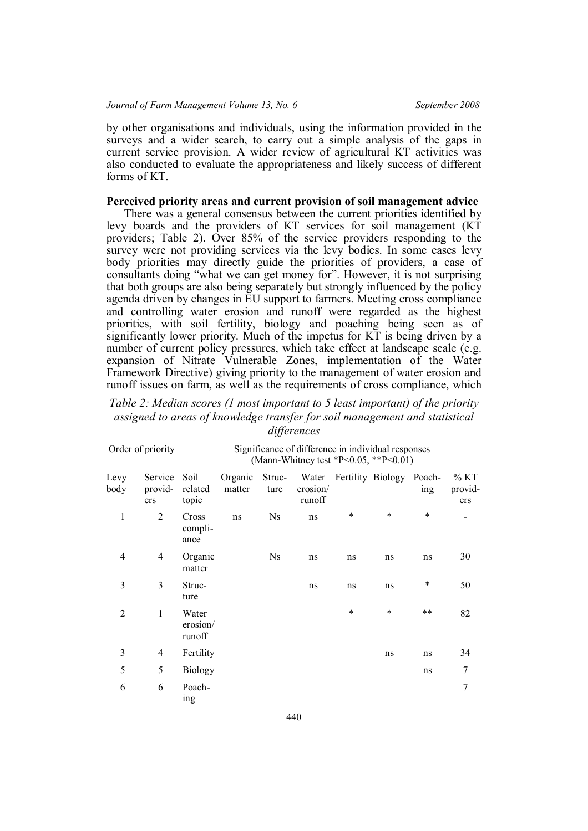by other organisations and individuals, using the information provided in the surveys and a wider search, to carry out a simple analysis of the gaps in current service provision. A wider review of agricultural KT activities was also conducted to evaluate the appropriateness and likely success of different forms of KT.

## **Perceived priority areas and current provision of soil management advice**

There was a general consensus between the current priorities identified by levy boards and the providers of KT services for soil management (KT providers; Table 2). Over 85% of the service providers responding to the survey were not providing services via the levy bodies. In some cases levy body priorities may directly guide the priorities of providers, a case of consultants doing "what we can get money for". However, it is not surprising that both groups are also being separately but strongly influenced by the policy agenda driven by changes in EU support to farmers. Meeting cross compliance and controlling water erosion and runoff were regarded as the highest priorities, with soil fertility, biology and poaching being seen as of significantly lower priority. Much of the impetus for KT is being driven by a number of current policy pressures, which take effect at landscape scale (e.g. expansion of Nitrate Vulnerable Zones, implementation of the Water Framework Directive) giving priority to the management of water erosion and runoff issues on farm, as well as the requirements of cross compliance, which

# *Table 2: Median scores (1 most important to 5 least important) of the priority assigned to areas of knowledge transfer for soil management and statistical differences*

| Order of priority |                           | Significance of difference in individual responses<br>(Mann-Whitney test *P<0.05, **P<0.01) |                   |                |                    |    |                                |        |                           |  |
|-------------------|---------------------------|---------------------------------------------------------------------------------------------|-------------------|----------------|--------------------|----|--------------------------------|--------|---------------------------|--|
| Levy<br>body      | Service<br>provid-<br>ers | Soil<br>related<br>topic                                                                    | Organic<br>matter | Struc-<br>ture | erosion/<br>runoff |    | Water Fertility Biology Poach- | ing    | $\%$ KT<br>provid-<br>ers |  |
| $\mathbf{1}$      | $\overline{2}$            | Cross<br>compli-<br>ance                                                                    | ns                | Ns             | ns                 | ∗  | $\ast$                         | $\ast$ |                           |  |
| $\overline{4}$    | $\overline{4}$            | Organic<br>matter                                                                           |                   | <b>Ns</b>      | ns                 | ns | ns                             | ns     | 30                        |  |
| 3                 | 3                         | Struc-<br>ture                                                                              |                   |                | ns                 | ns | ns                             | $\ast$ | 50                        |  |
| $\overline{2}$    | 1                         | Water<br>erosion/<br>runoff                                                                 |                   |                |                    | ∗  | $\ast$                         | $***$  | 82                        |  |
| 3                 | 4                         | Fertility                                                                                   |                   |                |                    |    | ns                             | ns     | 34                        |  |
| 5                 | 5                         | <b>Biology</b>                                                                              |                   |                |                    |    |                                | ns     | 7                         |  |
| 6                 | 6                         | Poach-<br>ing                                                                               |                   |                |                    |    |                                |        | 7                         |  |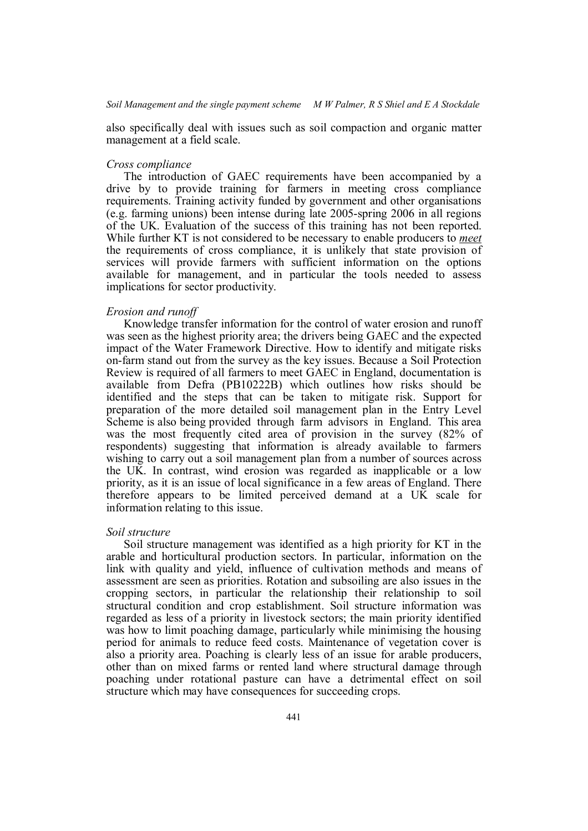also specifically deal with issues such as soil compaction and organic matter management at a field scale.

## *Cross compliance*

The introduction of GAEC requirements have been accompanied by a drive by to provide training for farmers in meeting cross compliance requirements. Training activity funded by government and other organisations (e.g. farming unions) been intense during late 2005-spring 2006 in all regions of the UK. Evaluation of the success of this training has not been reported. While further KT is not considered to be necessary to enable producers to *meet* the requirements of cross compliance, it is unlikely that state provision of services will provide farmers with sufficient information on the options available for management, and in particular the tools needed to assess implications for sector productivity.

## *Erosion and runoff*

Knowledge transfer information for the control of water erosion and runoff was seen as the highest priority area; the drivers being GAEC and the expected impact of the Water Framework Directive. How to identify and mitigate risks on-farm stand out from the survey as the key issues. Because a Soil Protection Review is required of all farmers to meet GAEC in England, documentation is available from Defra (PB10222B) which outlines how risks should be identified and the steps that can be taken to mitigate risk. Support for preparation of the more detailed soil management plan in the Entry Level Scheme is also being provided through farm advisors in England. This area was the most frequently cited area of provision in the survey (82% of respondents) suggesting that information is already available to farmers wishing to carry out a soil management plan from a number of sources across the UK. In contrast, wind erosion was regarded as inapplicable or a low priority, as it is an issue of local significance in a few areas of England. There therefore appears to be limited perceived demand at a UK scale for information relating to this issue.

#### *Soil structure*

Soil structure management was identified as a high priority for KT in the arable and horticultural production sectors. In particular, information on the link with quality and yield, influence of cultivation methods and means of assessment are seen as priorities. Rotation and subsoiling are also issues in the cropping sectors, in particular the relationship their relationship to soil structural condition and crop establishment. Soil structure information was regarded as less of a priority in livestock sectors; the main priority identified was how to limit poaching damage, particularly while minimising the housing period for animals to reduce feed costs. Maintenance of vegetation cover is also a priority area. Poaching is clearly less of an issue for arable producers, other than on mixed farms or rented land where structural damage through poaching under rotational pasture can have a detrimental effect on soil structure which may have consequences for succeeding crops.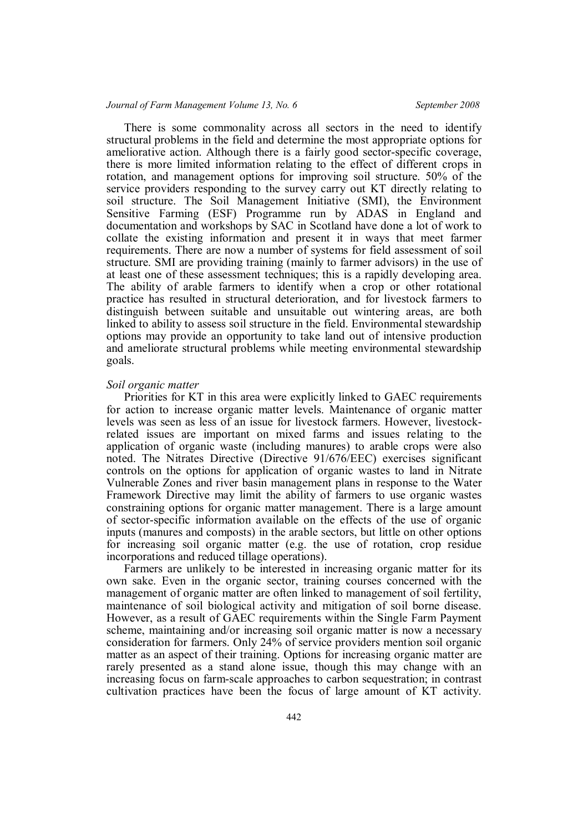## *Journal of Farm Management Volume 13, No. 6 September 2008*

There is some commonality across all sectors in the need to identify structural problems in the field and determine the most appropriate options for ameliorative action. Although there is a fairly good sector-specific coverage, there is more limited information relating to the effect of different crops in rotation, and management options for improving soil structure. 50% of the service providers responding to the survey carry out KT directly relating to soil structure. The Soil Management Initiative (SMI), the Environment Sensitive Farming (ESF) Programme run by ADAS in England and documentation and workshops by SAC in Scotland have done a lot of work to collate the existing information and present it in ways that meet farmer requirements. There are now a number of systems for field assessment of soil structure. SMI are providing training (mainly to farmer advisors) in the use of at least one of these assessment techniques; this is a rapidly developing area. The ability of arable farmers to identify when a crop or other rotational practice has resulted in structural deterioration, and for livestock farmers to distinguish between suitable and unsuitable out wintering areas, are both linked to ability to assess soil structure in the field. Environmental stewardship options may provide an opportunity to take land out of intensive production and ameliorate structural problems while meeting environmental stewardship goals.

#### *Soil organic matter*

Priorities for KT in this area were explicitly linked to GAEC requirements for action to increase organic matter levels. Maintenance of organic matter levels was seen as less of an issue for livestock farmers. However, livestockrelated issues are important on mixed farms and issues relating to the application of organic waste (including manures) to arable crops were also noted. The Nitrates Directive (Directive 91/676/EEC) exercises significant controls on the options for application of organic wastes to land in Nitrate Vulnerable Zones and river basin management plans in response to the Water Framework Directive may limit the ability of farmers to use organic wastes constraining options for organic matter management. There is a large amount of sector-specific information available on the effects of the use of organic inputs (manures and composts) in the arable sectors, but little on other options for increasing soil organic matter (e.g. the use of rotation, crop residue incorporations and reduced tillage operations).

Farmers are unlikely to be interested in increasing organic matter for its own sake. Even in the organic sector, training courses concerned with the management of organic matter are often linked to management of soil fertility, maintenance of soil biological activity and mitigation of soil borne disease. However, as a result of GAEC requirements within the Single Farm Payment scheme, maintaining and/or increasing soil organic matter is now a necessary consideration for farmers. Only 24% of service providers mention soil organic matter as an aspect of their training. Options for increasing organic matter are rarely presented as a stand alone issue, though this may change with an increasing focus on farm-scale approaches to carbon sequestration; in contrast cultivation practices have been the focus of large amount of KT activity.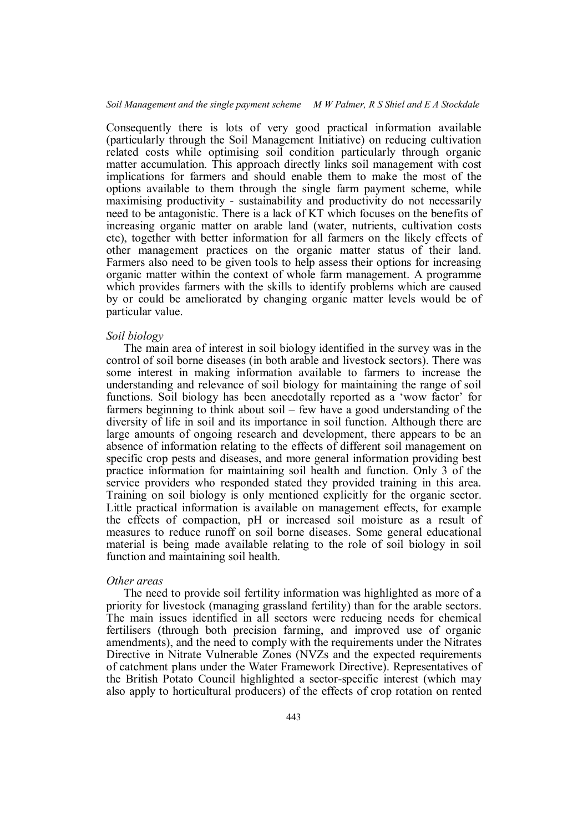*Soil Management and the single payment scheme M W Palmer, R S Shiel and E A Stockdale*

Consequently there is lots of very good practical information available (particularly through the Soil Management Initiative) on reducing cultivation related costs while optimising soil condition particularly through organic matter accumulation. This approach directly links soil management with cost implications for farmers and should enable them to make the most of the options available to them through the single farm payment scheme, while maximising productivity - sustainability and productivity do not necessarily need to be antagonistic. There is a lack of KT which focuses on the benefits of increasing organic matter on arable land (water, nutrients, cultivation costs etc), together with better information for all farmers on the likely effects of other management practices on the organic matter status of their land. Farmers also need to be given tools to help assess their options for increasing organic matter within the context of whole farm management. A programme which provides farmers with the skills to identify problems which are caused by or could be ameliorated by changing organic matter levels would be of particular value.

#### *Soil biology*

The main area of interest in soil biology identified in the survey was in the control of soil borne diseases (in both arable and livestock sectors). There was some interest in making information available to farmers to increase the understanding and relevance of soil biology for maintaining the range of soil functions. Soil biology has been anecdotally reported as a 'wow factor' for farmers beginning to think about soil – few have a good understanding of the diversity of life in soil and its importance in soil function. Although there are large amounts of ongoing research and development, there appears to be an absence of information relating to the effects of different soil management on specific crop pests and diseases, and more general information providing best practice information for maintaining soil health and function. Only 3 of the service providers who responded stated they provided training in this area. Training on soil biology is only mentioned explicitly for the organic sector. Little practical information is available on management effects, for example the effects of compaction, pH or increased soil moisture as a result of measures to reduce runoff on soil borne diseases. Some general educational material is being made available relating to the role of soil biology in soil function and maintaining soil health.

#### *Other areas*

The need to provide soil fertility information was highlighted as more of a priority for livestock (managing grassland fertility) than for the arable sectors. The main issues identified in all sectors were reducing needs for chemical fertilisers (through both precision farming, and improved use of organic amendments), and the need to comply with the requirements under the Nitrates Directive in Nitrate Vulnerable Zones (NVZs and the expected requirements of catchment plans under the Water Framework Directive). Representatives of the British Potato Council highlighted a sector-specific interest (which may also apply to horticultural producers) of the effects of crop rotation on rented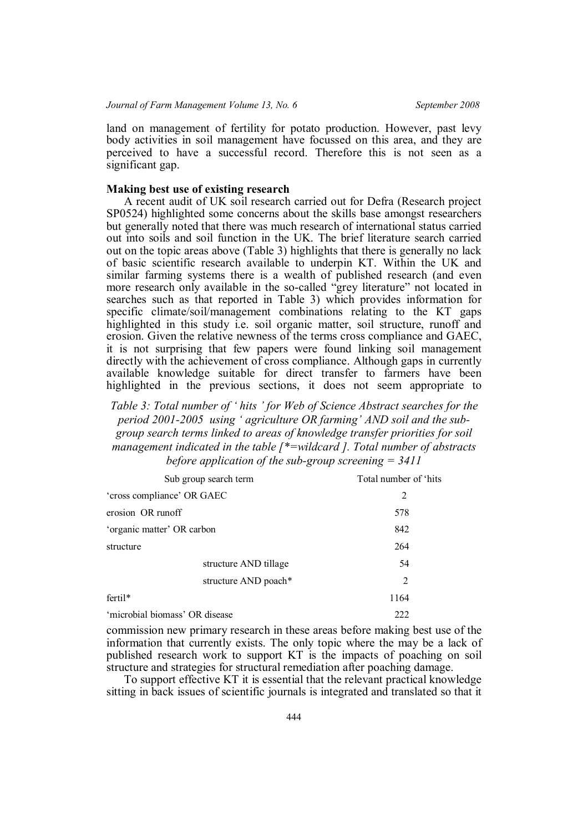land on management of fertility for potato production. However, past levy body activities in soil management have focussed on this area, and they are perceived to have a successful record. Therefore this is not seen as a significant gap.

## **Making best use of existing research**

A recent audit of UK soil research carried out for Defra (Research project SP0524) highlighted some concerns about the skills base amongst researchers but generally noted that there was much research of international status carried out into soils and soil function in the UK. The brief literature search carried out on the topic areas above (Table 3) highlights that there is generally no lack of basic scientific research available to underpin KT. Within the UK and similar farming systems there is a wealth of published research (and even more research only available in the so-called "grey literature" not located in searches such as that reported in Table 3) which provides information for specific climate/soil/management combinations relating to the KT gaps highlighted in this study i.e. soil organic matter, soil structure, runoff and erosion. Given the relative newness of the terms cross compliance and GAEC, it is not surprising that few papers were found linking soil management directly with the achievement of cross compliance. Although gaps in currently available knowledge suitable for direct transfer to farmers have been highlighted in the previous sections, it does not seem appropriate to

*Table 3: Total number of ' hits ' for Web of Science Abstract searches for the period 2001-2005 using ' agriculture OR farming' AND soil and the subgroup search terms linked to areas of knowledge transfer priorities for soil management indicated in the table [\*=wildcard ]. Total number of abstracts before application of the sub-group screening = 3411*

| Sub group search term          | Total number of 'hits |
|--------------------------------|-----------------------|
| 'cross compliance' OR GAEC     | 2                     |
| erosion OR runoff              | 578                   |
| 'organic matter' OR carbon     | 842                   |
| structure                      | 264                   |
| structure AND tillage          | 54                    |
| structure AND poach*           | 2                     |
| fertil*                        | 1164                  |
| 'microbial biomass' OR disease | 222                   |

commission new primary research in these areas before making best use of the information that currently exists. The only topic where the may be a lack of published research work to support KT is the impacts of poaching on soil structure and strategies for structural remediation after poaching damage.

To support effective KT it is essential that the relevant practical knowledge sitting in back issues of scientific journals is integrated and translated so that it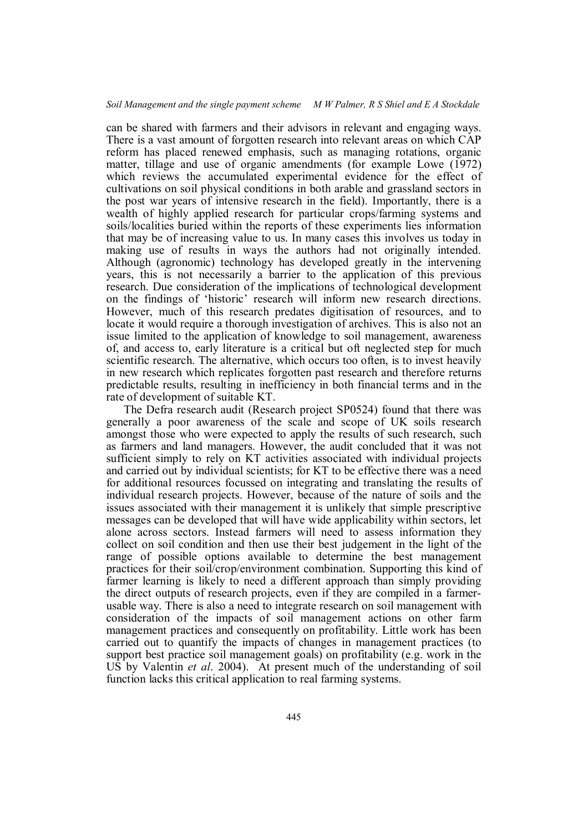can be shared with farmers and their advisors in relevant and engaging ways. There is a vast amount of forgotten research into relevant areas on which CAP reform has placed renewed emphasis, such as managing rotations, organic matter, tillage and use of organic amendments (for example Lowe (1972) which reviews the accumulated experimental evidence for the effect of cultivations on soil physical conditions in both arable and grassland sectors in the post war years of intensive research in the field). Importantly, there is a wealth of highly applied research for particular crops/farming systems and soils/localities buried within the reports of these experiments lies information that may be of increasing value to us. In many cases this involves us today in making use of results in ways the authors had not originally intended. Although (agronomic) technology has developed greatly in the intervening years, this is not necessarily a barrier to the application of this previous research. Due consideration of the implications of technological development on the findings of 'historic' research will inform new research directions. However, much of this research predates digitisation of resources, and to locate it would require a thorough investigation of archives. This is also not an issue limited to the application of knowledge to soil management, awareness of, and access to, early literature is a critical but oft neglected step for much scientific research. The alternative, which occurs too often, is to invest heavily in new research which replicates forgotten past research and therefore returns predictable results, resulting in inefficiency in both financial terms and in the rate of development of suitable KT.

The Defra research audit (Research project SP0524) found that there was generally a poor awareness of the scale and scope of UK soils research amongst those who were expected to apply the results of such research, such as farmers and land managers. However, the audit concluded that it was not sufficient simply to rely on KT activities associated with individual projects and carried out by individual scientists; for KT to be effective there was a need for additional resources focussed on integrating and translating the results of individual research projects. However, because of the nature of soils and the issues associated with their management it is unlikely that simple prescriptive messages can be developed that will have wide applicability within sectors, let alone across sectors. Instead farmers will need to assess information they collect on soil condition and then use their best judgement in the light of the range of possible options available to determine the best management practices for their soil/crop/environment combination. Supporting this kind of farmer learning is likely to need a different approach than simply providing the direct outputs of research projects, even if they are compiled in a farmerusable way. There is also a need to integrate research on soil management with consideration of the impacts of soil management actions on other farm management practices and consequently on profitability. Little work has been carried out to quantify the impacts of changes in management practices (to support best practice soil management goals) on profitability (e.g. work in the US by Valentin *et al*. 2004). At present much of the understanding of soil function lacks this critical application to real farming systems.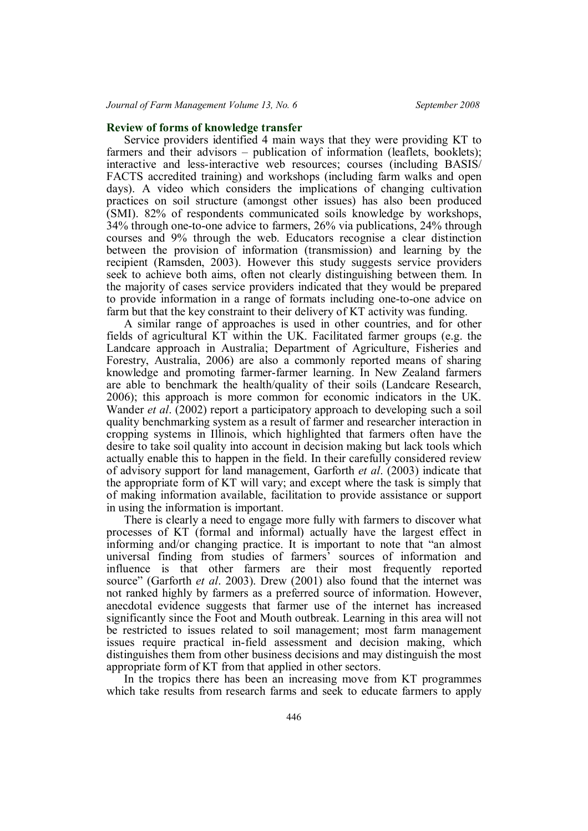### **Review of forms of knowledge transfer**

Service providers identified 4 main ways that they were providing KT to farmers and their advisors – publication of information (leaflets, booklets); interactive and less-interactive web resources; courses (including BASIS/ FACTS accredited training) and workshops (including farm walks and open days). A video which considers the implications of changing cultivation practices on soil structure (amongst other issues) has also been produced (SMI). 82% of respondents communicated soils knowledge by workshops, 34% through one-to-one advice to farmers, 26% via publications, 24% through courses and 9% through the web. Educators recognise a clear distinction between the provision of information (transmission) and learning by the recipient (Ramsden, 2003). However this study suggests service providers seek to achieve both aims, often not clearly distinguishing between them. In the majority of cases service providers indicated that they would be prepared to provide information in a range of formats including one-to-one advice on farm but that the key constraint to their delivery of KT activity was funding.

A similar range of approaches is used in other countries, and for other fields of agricultural KT within the UK. Facilitated farmer groups (e.g. the Landcare approach in Australia; Department of Agriculture, Fisheries and Forestry, Australia, 2006) are also a commonly reported means of sharing knowledge and promoting farmer-farmer learning. In New Zealand farmers are able to benchmark the health/quality of their soils (Landcare Research, 2006); this approach is more common for economic indicators in the UK. Wander *et al.* (2002) report a participatory approach to developing such a soil quality benchmarking system as a result of farmer and researcher interaction in cropping systems in Illinois, which highlighted that farmers often have the desire to take soil quality into account in decision making but lack tools which actually enable this to happen in the field. In their carefully considered review of advisory support for land management, Garforth *et al*. (2003) indicate that the appropriate form of KT will vary; and except where the task is simply that of making information available, facilitation to provide assistance or support in using the information is important.

There is clearly a need to engage more fully with farmers to discover what processes of KT (formal and informal) actually have the largest effect in informing and/or changing practice. It is important to note that "an almost universal finding from studies of farmers' sources of information and influence is that other farmers are their most frequently reported source" (Garforth *et al*. 2003). Drew (2001) also found that the internet was not ranked highly by farmers as a preferred source of information. However, anecdotal evidence suggests that farmer use of the internet has increased significantly since the Foot and Mouth outbreak. Learning in this area will not be restricted to issues related to soil management; most farm management issues require practical in-field assessment and decision making, which distinguishes them from other business decisions and may distinguish the most appropriate form of KT from that applied in other sectors.

In the tropics there has been an increasing move from KT programmes which take results from research farms and seek to educate farmers to apply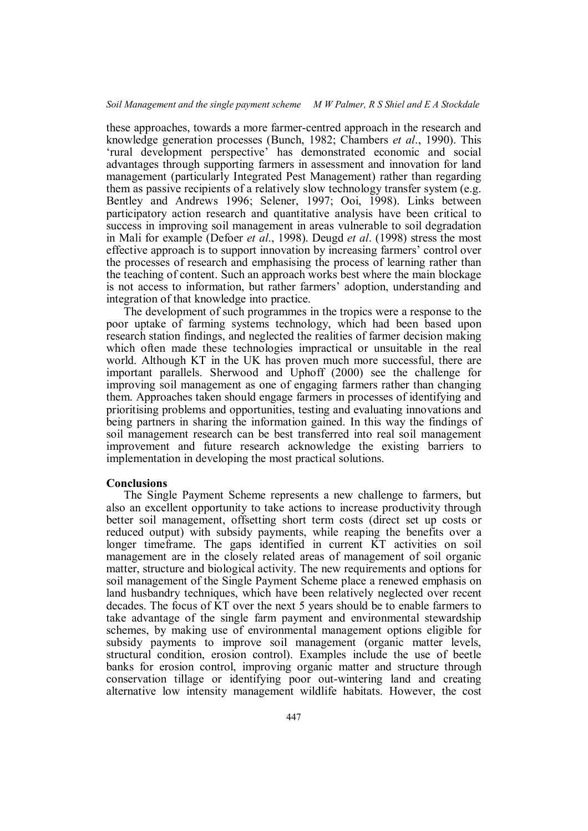these approaches, towards a more farmer-centred approach in the research and knowledge generation processes (Bunch, 1982; Chambers *et al*., 1990). This 'rural development perspective' has demonstrated economic and social advantages through supporting farmers in assessment and innovation for land management (particularly Integrated Pest Management) rather than regarding them as passive recipients of a relatively slow technology transfer system (e.g. Bentley and Andrews 1996; Selener, 1997; Ooi, 1998). Links between participatory action research and quantitative analysis have been critical to success in improving soil management in areas vulnerable to soil degradation in Mali for example (Defoer *et al*., 1998). Deugd *et al*. (1998) stress the most effective approach is to support innovation by increasing farmers' control over the processes of research and emphasising the process of learning rather than the teaching of content. Such an approach works best where the main blockage is not access to information, but rather farmers' adoption, understanding and integration of that knowledge into practice.

The development of such programmes in the tropics were a response to the poor uptake of farming systems technology, which had been based upon research station findings, and neglected the realities of farmer decision making which often made these technologies impractical or unsuitable in the real world. Although KT in the UK has proven much more successful, there are important parallels. Sherwood and Uphoff (2000) see the challenge for improving soil management as one of engaging farmers rather than changing them. Approaches taken should engage farmers in processes of identifying and prioritising problems and opportunities, testing and evaluating innovations and being partners in sharing the information gained. In this way the findings of soil management research can be best transferred into real soil management improvement and future research acknowledge the existing barriers to implementation in developing the most practical solutions.

#### **Conclusions**

The Single Payment Scheme represents a new challenge to farmers, but also an excellent opportunity to take actions to increase productivity through better soil management, offsetting short term costs (direct set up costs or reduced output) with subsidy payments, while reaping the benefits over a longer timeframe. The gaps identified in current KT activities on soil management are in the closely related areas of management of soil organic matter, structure and biological activity. The new requirements and options for soil management of the Single Payment Scheme place a renewed emphasis on land husbandry techniques, which have been relatively neglected over recent decades. The focus of KT over the next 5 years should be to enable farmers to take advantage of the single farm payment and environmental stewardship schemes, by making use of environmental management options eligible for subsidy payments to improve soil management (organic matter levels, structural condition, erosion control). Examples include the use of beetle banks for erosion control, improving organic matter and structure through conservation tillage or identifying poor out-wintering land and creating alternative low intensity management wildlife habitats. However, the cost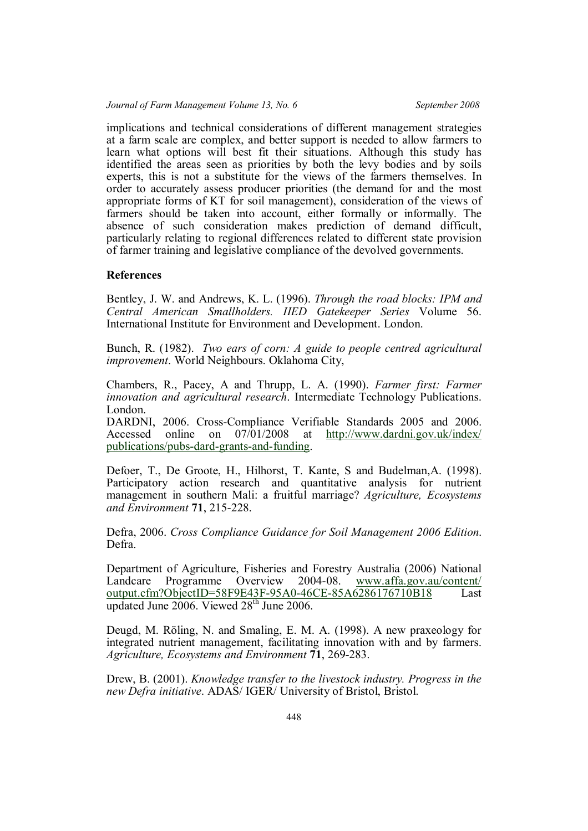implications and technical considerations of different management strategies at a farm scale are complex, and better support is needed to allow farmers to learn what options will best fit their situations. Although this study has identified the areas seen as priorities by both the levy bodies and by soils experts, this is not a substitute for the views of the farmers themselves. In order to accurately assess producer priorities (the demand for and the most appropriate forms of KT for soil management), consideration of the views of farmers should be taken into account, either formally or informally. The absence of such consideration makes prediction of demand difficult, particularly relating to regional differences related to different state provision of farmer training and legislative compliance of the devolved governments.

# **References**

Bentley, J. W. and Andrews, K. L. (1996). *Through the road blocks: IPM and Central American Smallholders. IIED Gatekeeper Series* Volume 56. International Institute for Environment and Development. London.

Bunch, R. (1982). *Two ears of corn: A guide to people centred agricultural improvement*. World Neighbours. Oklahoma City,

Chambers, R., Pacey, A and Thrupp, L. A. (1990). *Farmer first: Farmer innovation and agricultural research*. Intermediate Technology Publications. London.

DARDNI, 2006. Cross-Compliance Verifiable Standards 2005 and 2006. Accessed online on 07/01/2008 at http://www.dardni.gov.uk/index/ publications/pubs-dard-grants-and-funding.

Defoer, T., De Groote, H., Hilhorst, T. Kante, S and Budelman,A. (1998). Participatory action research and quantitative analysis for nutrient management in southern Mali: a fruitful marriage? *Agriculture, Ecosystems and Environment* **71**, 215-228.

Defra, 2006. *Cross Compliance Guidance for Soil Management 2006 Edition*. Defra.

Department of Agriculture, Fisheries and Forestry Australia (2006) National Landcare Programme Overview 2004-08. www.affa.gov.au/content/ output.cfm?ObjectID=58F9E43F-95A0-46CE-85A6286176710B18 Last updated June 2006. Viewed 28<sup>th</sup> June 2006.

Deugd, M. Röling, N. and Smaling, E. M. A. (1998). A new praxeology for integrated nutrient management, facilitating innovation with and by farmers. *Agriculture, Ecosystems and Environment* **71**, 269-283.

Drew, B. (2001). *Knowledge transfer to the livestock industry. Progress in the new Defra initiative*. ADAS/ IGER/ University of Bristol, Bristol.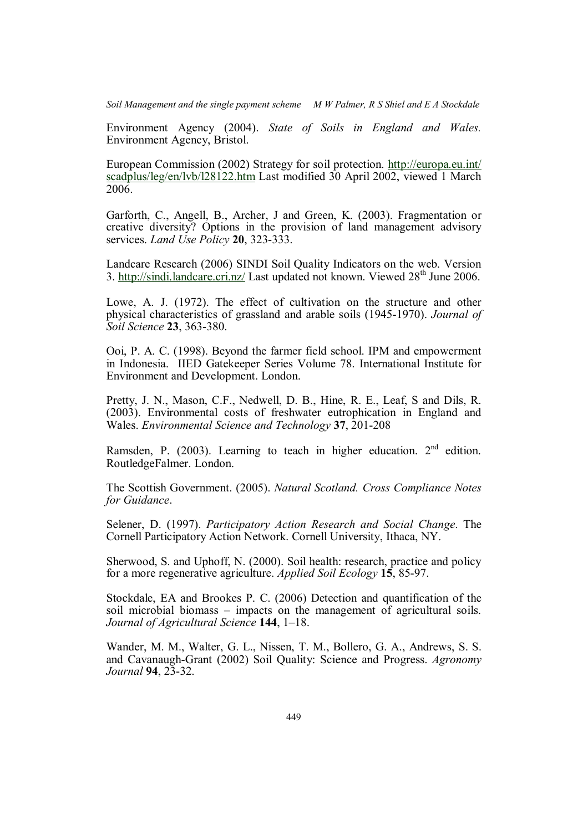*Soil Management and the single payment scheme M W Palmer, R S Shiel and E A Stockdale*

Environment Agency (2004). *State of Soils in England and Wales.* Environment Agency, Bristol.

European Commission (2002) Strategy for soil protection. http://europa.eu.int/ scadplus/leg/en/lvb/l28122.htm Last modified 30 April 2002, viewed 1 March 2006.

Garforth, C., Angell, B., Archer, J and Green, K. (2003). Fragmentation or creative diversity? Options in the provision of land management advisory services. *Land Use Policy* **20**, 323-333.

Landcare Research (2006) SINDI Soil Quality Indicators on the web. Version 3. http://sindi.landcare.cri.nz/ Last updated not known. Viewed 28th June 2006.

Lowe, A. J. (1972). The effect of cultivation on the structure and other physical characteristics of grassland and arable soils (1945-1970). *Journal of Soil Science* **23**, 363-380.

Ooi, P. A. C. (1998). Beyond the farmer field school. IPM and empowerment in Indonesia. IIED Gatekeeper Series Volume 78. International Institute for Environment and Development. London.

Pretty, J. N., Mason, C.F., Nedwell, D. B., Hine, R. E., Leaf, S and Dils, R. (2003). Environmental costs of freshwater eutrophication in England and Wales. *Environmental Science and Technology* **37**, 201-208

Ramsden, P. (2003). Learning to teach in higher education.  $2<sup>nd</sup>$  edition. RoutledgeFalmer. London.

The Scottish Government. (2005). *Natural Scotland. Cross Compliance Notes for Guidance*.

Selener, D. (1997). *Participatory Action Research and Social Change*. The Cornell Participatory Action Network. Cornell University, Ithaca, NY.

Sherwood, S. and Uphoff, N. (2000). Soil health: research, practice and policy for a more regenerative agriculture. *Applied Soil Ecology* **15**, 85-97.

Stockdale, EA and Brookes P. C. (2006) Detection and quantification of the soil microbial biomass – impacts on the management of agricultural soils. *Journal of Agricultural Science* **144**, 1–18.

Wander, M. M., Walter, G. L., Nissen, T. M., Bollero, G. A., Andrews, S. S. and Cavanaugh-Grant (2002) Soil Quality: Science and Progress. *Agronomy Journal* **94**, 23-32.